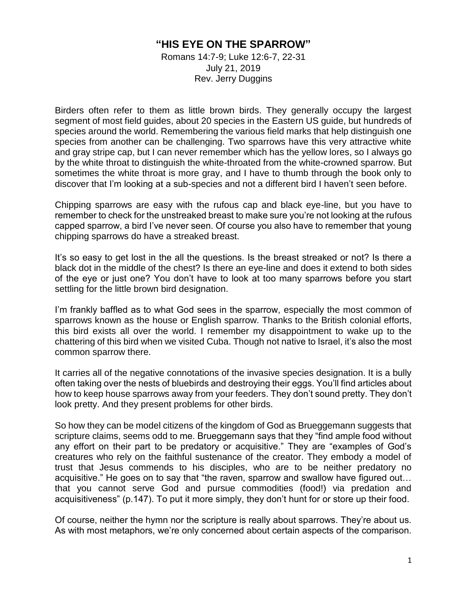## **"HIS EYE ON THE SPARROW"**

Romans 14:7-9; Luke 12:6-7, 22-31 July 21, 2019 Rev. Jerry Duggins

Birders often refer to them as little brown birds. They generally occupy the largest segment of most field guides, about 20 species in the Eastern US guide, but hundreds of species around the world. Remembering the various field marks that help distinguish one species from another can be challenging. Two sparrows have this very attractive white and gray stripe cap, but I can never remember which has the yellow lores, so I always go by the white throat to distinguish the white-throated from the white-crowned sparrow. But sometimes the white throat is more gray, and I have to thumb through the book only to discover that I'm looking at a sub-species and not a different bird I haven't seen before.

Chipping sparrows are easy with the rufous cap and black eye-line, but you have to remember to check for the unstreaked breast to make sure you're not looking at the rufous capped sparrow, a bird I've never seen. Of course you also have to remember that young chipping sparrows do have a streaked breast.

It's so easy to get lost in the all the questions. Is the breast streaked or not? Is there a black dot in the middle of the chest? Is there an eye-line and does it extend to both sides of the eye or just one? You don't have to look at too many sparrows before you start settling for the little brown bird designation.

I'm frankly baffled as to what God sees in the sparrow, especially the most common of sparrows known as the house or English sparrow. Thanks to the British colonial efforts, this bird exists all over the world. I remember my disappointment to wake up to the chattering of this bird when we visited Cuba. Though not native to Israel, it's also the most common sparrow there.

It carries all of the negative connotations of the invasive species designation. It is a bully often taking over the nests of bluebirds and destroying their eggs. You'll find articles about how to keep house sparrows away from your feeders. They don't sound pretty. They don't look pretty. And they present problems for other birds.

So how they can be model citizens of the kingdom of God as Brueggemann suggests that scripture claims, seems odd to me. Brueggemann says that they "find ample food without any effort on their part to be predatory or acquisitive." They are "examples of God's creatures who rely on the faithful sustenance of the creator. They embody a model of trust that Jesus commends to his disciples, who are to be neither predatory no acquisitive." He goes on to say that "the raven, sparrow and swallow have figured out… that you cannot serve God and pursue commodities (food!) via predation and acquisitiveness" (p.147). To put it more simply, they don't hunt for or store up their food.

Of course, neither the hymn nor the scripture is really about sparrows. They're about us. As with most metaphors, we're only concerned about certain aspects of the comparison.